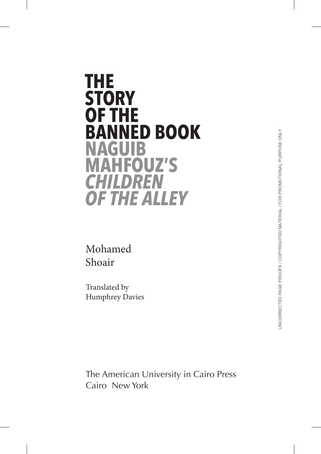# **THE STORY OF THE BANNED BOOK NAGUIB MAHFOUZ'S** *CHILDREN OF THE ALLEY*

Mohamed Shoair

Translated by Humphrey Davies

The American University in Cairo Press Cairo New York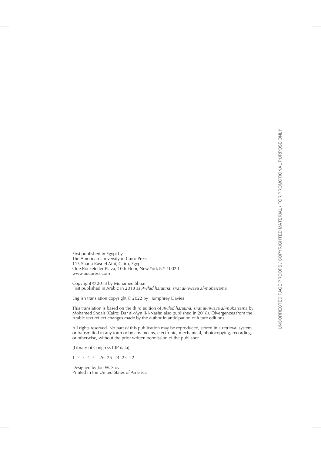First published in Egypt by The American University in Cairo Press 113 Sharia Kasr el Aini, Cairo, Egypt One Rockefeller Plaza, 10th Floor, New York NY 10020 www.aucpress.com

Copyright © 2018 by Mohamed Shoair First published in Arabic in 2018 as *Awlad haratina: sirat al-riwaya al-muharrama*

English translation copyright © 2022 by Humphrey Davies

This translation is based on the third edition of *Awlad haratina: sirat al-riwaya al-muharrama* by Mohamed Shoair (Cairo: Dar al-'Ayn li-l-Nashr, also published in 2018). Divergences from the Arabic text reflect changes made by the author in anticipation of future editions.

All rights reserved. No part of this publication may be reproduced, stored in a retrieval system, or transmitted in any form or by any means, electronic, mechanical, photocopying, recording, or otherwise, without the prior written permission of the publisher.

[Library of Congress CIP data]

1 2 3 4 5 26 25 24 23 22

Designed by Jon W. Stoy Printed in the United States of America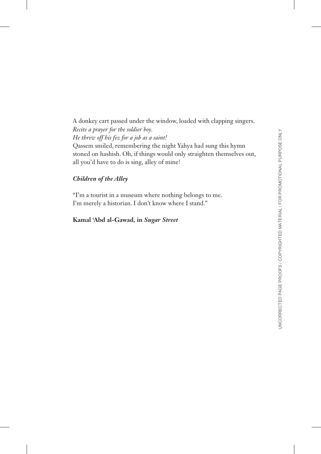A donkey cart passed under the window, loaded with clapping singers. *Recite a prayer for the soldier boy. He threw off his fez for a job as a saint!* Qassem smiled, remembering the night Yahya had sung this hymn

stoned on hashish. Oh, if things would only straighten themselves out, all you'd have to do is sing, alley of mine!

#### *Children of the Alley*

"I'm a tourist in a museum where nothing belongs to me. I'm merely a historian. I don't know where I stand."

#### **Kamal 'Abd al-Gawad, in** *Sugar Street*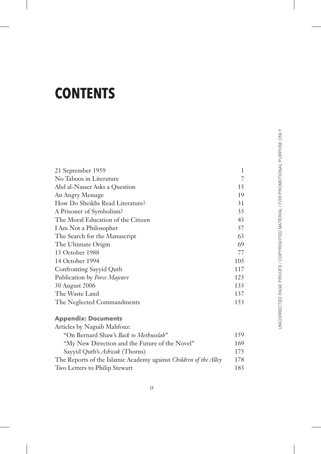## **CONTENTS**

| 21 September 1959                  | 1              |
|------------------------------------|----------------|
| No Taboos in Literature            | $\overline{7}$ |
| Abd al-Nasser Asks a Question      | 15             |
| An Angry Message                   | 19             |
| How Do Sheikhs Read Literature?    | 31             |
| A Prisoner of Symbolism?           | 35             |
| The Moral Education of the Citizen | 43             |
| I Am Not a Philosopher             | 57             |
| The Search for the Manuscript      | 63             |
| The Ultimate Origin                | 69             |
| 13 October 1988                    | 77             |
| 14 October 1994                    | 105            |
| Confronting Sayyid Qutb            | 117            |
| Publication by Force Majeure       | 125            |
| 30 August 2006                     | 133            |
| The Waste Land                     | 137            |
| The Neglected Commandments         | 153            |
|                                    |                |

### **Appendix: Documents**

| Articles by Naguib Mahfouz:                                             |     |
|-------------------------------------------------------------------------|-----|
| "On Bernard Shaw's Back to Methuselah"                                  | 159 |
| "My New Direction and the Future of the Novel"                          | 169 |
| Sayyid Qutb's <i>Ashwak</i> (Thorns)                                    | 175 |
| The Reports of the Islamic Academy against <i>Children of the Alley</i> | 178 |
| Two Letters to Philip Stewart                                           | 183 |
|                                                                         |     |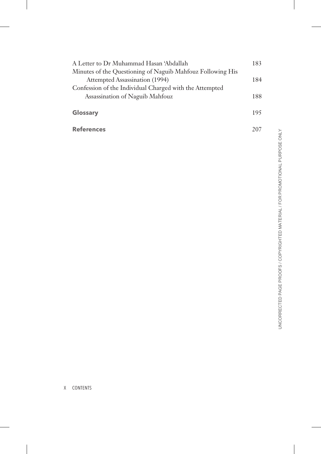| A Letter to Dr Muhammad Hasan 'Abdallah                    | 183 |
|------------------------------------------------------------|-----|
| Minutes of the Questioning of Naguib Mahfouz Following His |     |
| Attempted Assassination (1994)                             | 184 |
| Confession of the Individual Charged with the Attempted    |     |
| Assassination of Naguib Mahfouz                            | 188 |
| Glossary                                                   | 195 |
| <b>References</b>                                          | 207 |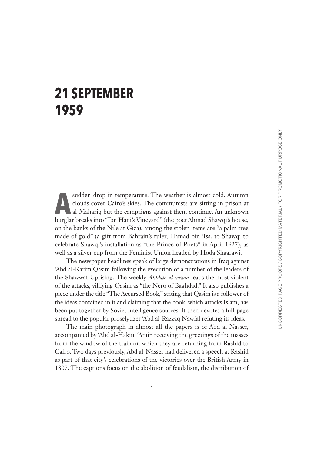### **21 SEPTEMBER 1959**

sudden drop in temperature. The weather is almost cold. Autumn<br>clouds cover Cairo's skies. The communists are sitting in prison at<br>al-Mahariq but the campaigns against them continue. An unknown<br>hurglen breeks into "Ibn Han clouds cover Cairo's skies. The communists are sitting in prison at burglar breaks into "Ibn Hani's Vineyard" (the poet Ahmad Shawqi's house, on the banks of the Nile at Giza); among the stolen items are "a palm tree made of gold" (a gift from Bahrain's ruler, Hamad bin 'Isa, to Shawqi to celebrate Shawqi's installation as "the Prince of Poets" in April 1927), as well as a silver cup from the Feminist Union headed by Hoda Shaarawi.

The newspaper headlines speak of large demonstrations in Iraq against 'Abd al-Karim Qasim following the execution of a number of the leaders of the Shawwaf Uprising. The weekly *Akhbar al-yawm* leads the most violent of the attacks, vilifying Qasim as "the Nero of Baghdad." It also publishes a piece under the title "The Accursed Book," stating that Qasim is a follower of the ideas contained in it and claiming that the book, which attacks Islam, has been put together by Soviet intelligence sources. It then devotes a full-page spread to the popular proselytizer 'Abd al-Razzaq Nawfal refuting its ideas.

The main photograph in almost all the papers is of Abd al-Nasser, accompanied by 'Abd al-Hakim 'Amir, receiving the greetings of the masses from the window of the train on which they are returning from Rashid to Cairo. Two days previously, Abd al-Nasser had delivered a speech at Rashid as part of that city's celebrations of the victories over the British Army in 1807. The captions focus on the abolition of feudalism, the distribution of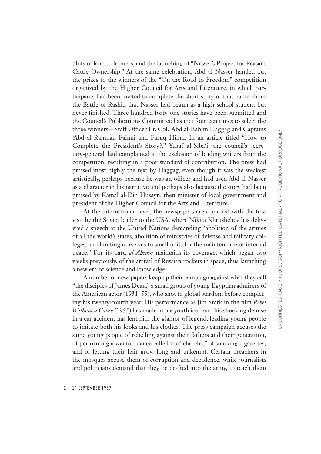plots of land to farmers, and the launching of "Nasser's Project for Peasant Cattle Ownership." At the same celebration, Abd al-Nasser handed out the prizes to the winners of the "On the Road to Freedom" competition organized by the Higher Council for Arts and Literature, in which participants had been invited to complete the short story of that name about the Battle of Rashid that Nasser had begun as a high-school student but never finished. Three hundred forty-one stories have been submitted and the Council's Publications Committee has met fourteen times to select the three winners—Staff Officer Lt. Col. 'Abd al-Rahim Haggag and Captains 'Abd al-Rahman Fahmi and Faruq Hilmi. In an article titled "How to Complete the President's Story?," Yusuf al-Siba'i, the council's secretary-general, had complained at the exclusion of leading writers from the competition, resulting in a poor standard of contribution. The press had praised most highly the text by Haggag, even though it was the weakest artistically, perhaps because he was an officer and had used Abd al-Nasser as a character in his narrative and perhaps also because the story had been praised by Kamal al-Din Husayn, then minister of local government and president of the Higher Council for the Arts and Literature.

At the international level, the newspapers are occupied with the first visit by the Soviet leader to the USA, where Nikita Khrushchev has delivered a speech at the United Nations demanding "abolition of the armies of all the world's states, abolition of ministries of defense and military colleges, and limiting ourselves to small units for the maintenance of internal peace." For its part, *al-Ahram* maintains its coverage, which began two weeks previously, of the arrival of Russian rockets in space, thus launching a new era of science and knowledge.

A number of newspapers keep up their campaign against what they call "the disciples of James Dean," a small group of young Egyptian admirers of the American actor (1931–55), who shot to global stardom before completing his twenty-fourth year. His performance as Jim Stark in the film *Rebel Without a Cause* (1955) has made him a youth icon and his shocking demise in a car accident has lent him the glamor of legend, leading young people to imitate both his looks and his clothes. The press campaign accuses the same young people of rebelling against their fathers and their generation, of performing a wanton dance called the "cha-cha," of smoking cigarettes, and of letting their hair grow long and unkempt. Certain preachers in the mosques accuse them of corruption and decadence, while journalists and politicians demand that they be drafted into the army, to teach them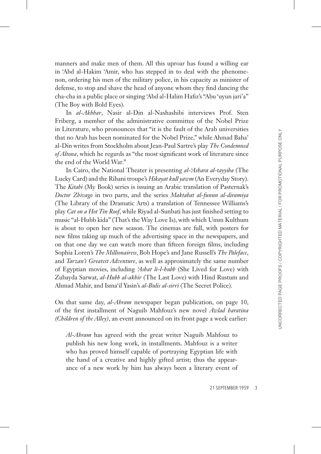JNCORRECTED PAGE PROOFS / COPYRIGHTED MATERIAL / FOR PROMOTIONAL PURPOSE ONLY UNCORRECTED PAGE PROOFS / COPYRIGHTED MATERIAL / FOR PROMOTIONAL PURPOSE ONLY

manners and make men of them. All this uproar has found a willing ear in 'Abd al-Hakim 'Amir, who has stepped in to deal with the phenomenon, ordering his men of the military police, in his capacity as minister of defense, to stop and shave the head of anyone whom they find dancing the cha-cha in a public place or singing 'Abd al-Halim Hafiz's "Abu 'uyun jari'a" (The Boy with Bold Eyes).

In *al-Akhbar*, Nasir al-Din al-Nashashibi interviews Prof. Sten Friberg, a member of the administrative committee of the Nobel Prize in Literature, who pronounces that "it is the fault of the Arab universities that no Arab has been nominated for the Nobel Prize," while Ahmad Baha' al-Din writes from Stockholm about Jean-Paul Sartre's play *The Condemned of Altona*, which he regards as "the most significant work of literature since the end of the World War."

In Cairo, the National Theater is presenting *al-'Ashara al-tayyiba* (The Lucky Card) and the Rihani troupe's *Hikayat kull yawm* (An Everyday Story). The *Kitabi* (My Book) series is issuing an Arabic translation of Pasternak's *Doctor Zhivago* in two parts, and the series *Maktabat al-funun al-diramiya*  (The Library of the Dramatic Arts) a translation of Tennessee Williams's play *Cat on a Hot Tin Roof*, while Riyad al-Sunbati has just finished setting to music "al-Hubb kida" (That's the Way Love Is), with which Umm Kulthum is about to open her new season. The cinemas are full, with posters for new films taking up much of the advertising space in the newspapers, and on that one day we can watch more than fifteen foreign films, including Sophia Loren's *The Millionairess*, Bob Hope's and Jane Russell's *The Paleface*, and *Tarzan's Greatest Adventure*, as well as approximately the same number of Egyptian movies, including *'Ashat li-l-hubb* (She Lived for Love) with Zubayda Sarwat, *al-Hubb al-akhir* (The Last Love) with Hind Rustum and Ahmad Mahir, and Isma'il Yasin's *al-Bulis al-sirri* (The Secret Police).

On that same day, *al-Ahram* newspaper began publication, on page 10, of the first installment of Naguib Mahfouz's new novel *Awlad haratina (Children of the Alley)*, an event announced on its front page a week earlier:

*Al-Ahram* has agreed with the great writer Naguib Mahfouz to publish his new long work, in installments. Mahfouz is a writer who has proved himself capable of portraying Egyptian life with the hand of a creative and highly gifted artist; thus the appearance of a new work by him has always been a literary event of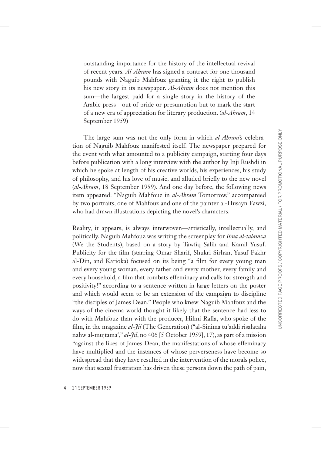outstanding importance for the history of the intellectual revival of recent years. *Al-Ahram* has signed a contract for one thousand pounds with Naguib Mahfouz granting it the right to publish his new story in its newspaper. *Al-Ahram* does not mention this sum—the largest paid for a single story in the history of the Arabic press—out of pride or presumption but to mark the start of a new era of appreciation for literary production. (*al-Ahram*, 14 September 1959)

The large sum was not the only form in which *al-Ahram*'s celebration of Naguib Mahfouz manifested itself. The newspaper prepared for the event with what amounted to a publicity campaign, starting four days before publication with a long interview with the author by Inji Rushdi in which he spoke at length of his creative worlds, his experiences, his study of philosophy, and his love of music, and alluded briefly to the new novel (*al-Ahram*, 18 September 1959)*.* And one day before, the following news item appeared: "Naguib Mahfouz in *al-Ahram* Tomorrow," accompanied by two portraits, one of Mahfouz and one of the painter al-Husayn Fawzi, who had drawn illustrations depicting the novel's characters.

Reality, it appears, is always interwoven—artistically, intellectually, and politically. Naguib Mahfouz was writing the screenplay for *Ihna al-talamza*  (We the Students), based on a story by Tawfiq Salih and Kamil Yusuf. Publicity for the film (starring Omar Sharif, Shukri Sirhan, Yusuf Fakhr al-Din, and Karioka) focused on its being "a film for every young man and every young woman, every father and every mother, every family and every household, a film that combats effeminacy and calls for strength and positivity!" according to a sentence written in large letters on the poster and which would seem to be an extension of the campaign to discipline "the disciples of James Dean." People who knew Naguib Mahfouz and the ways of the cinema world thought it likely that the sentence had less to do with Mahfouz than with the producer, Hilmi Rafla, who spoke of the film, in the magazine *al-Jil* (The Generation) ("al-Sinima tu'addi risalataha nahw al-mujtama'," *al-Jil*, no 406 [5 October 1959], 17), as part of a mission "against the likes of James Dean, the manifestations of whose effeminacy have multiplied and the instances of whose perverseness have become so widespread that they have resulted in the intervention of the morals police, now that sexual frustration has driven these persons down the path of pain,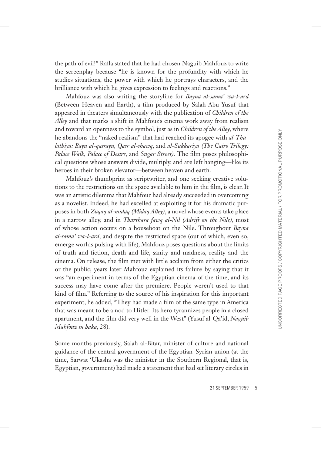the path of evil!" Rafla stated that he had chosen Naguib Mahfouz to write the screenplay because "he is known for the profundity with which he studies situations, the power with which he portrays characters, and the brilliance with which he gives expression to feelings and reactions."

Mahfouz was also writing the storyline for *Bayna al-sama' wa-l-ard*  (Between Heaven and Earth), a film produced by Salah Abu Yusuf that appeared in theaters simultaneously with the publication of *Children of the Alley* and that marks a shift in Mahfouz's cinema work away from realism and toward an openness to the symbol, just as in *Children of the Alley*, where he abandons the "naked realism" that had reached its apogee with *al-Thulathiya: Bayn al-qasrayn, Qasr al-shawq,* and *al-Sukkariya (The Cairo Trilogy: Palace Walk, Palace of Desire,* and *Sugar Street).* The film poses philosophical questions whose answers divide, multiply, and are left hanging—like its heroes in their broken elevator—between heaven and earth.

Mahfouz's thumbprint as scriptwriter, and one seeking creative solutions to the restrictions on the space available to him in the film, is clear. It was an artistic dilemma that Mahfouz had already succeeded in overcoming as a novelist. Indeed, he had excelled at exploiting it for his dramatic purposes in both *Zuqaq al-midaq (Midaq Alley)*, a novel whose events take place in a narrow alley, and in *Tharthara fawq al-Nil (Adrift on the Nile)*, most of whose action occurs on a houseboat on the Nile. Throughout *Bayna al-sama' wa-l-ard*, and despite the restricted space (out of which, even so, emerge worlds pulsing with life), Mahfouz poses questions about the limits of truth and fiction, death and life, sanity and madness, reality and the cinema. On release, the film met with little acclaim from either the critics or the public; years later Mahfouz explained its failure by saying that it was "an experiment in terms of the Egyptian cinema of the time, and its success may have come after the premiere. People weren't used to that kind of film." Referring to the source of his inspiration for this important experiment, he added, "They had made a film of the same type in America that was meant to be a nod to Hitler. Its hero tyrannizes people in a closed apartment, and the film did very well in the West" (Yusuf al-Qa'id, *Naguib Mahfouz in haka*, 28).

Some months previously, Salah al-Bitar, minister of culture and national guidance of the central government of the Egyptian–Syrian union (at the time, Sarwat 'Ukasha was the minister in the Southern Regional, that is, Egyptian, government) had made a statement that had set literary circles in